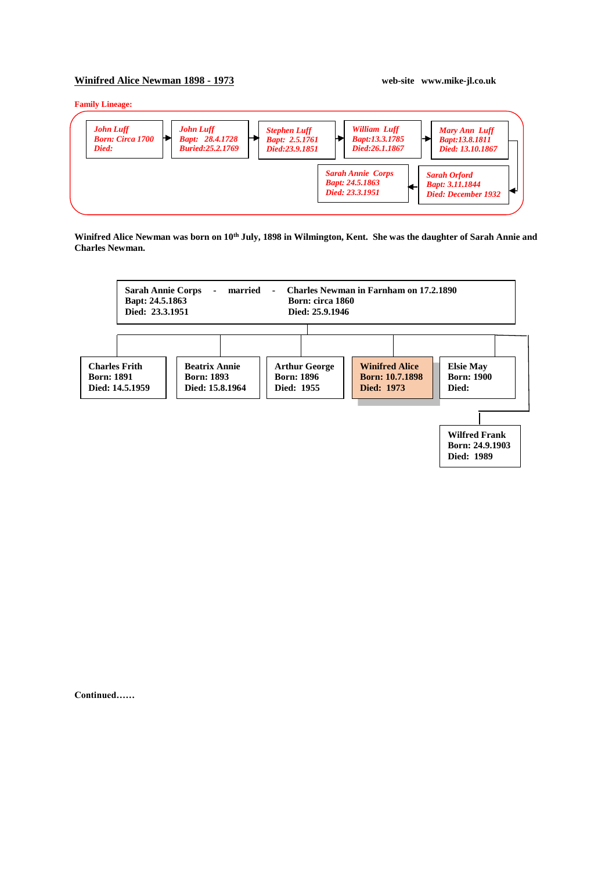## **Winifred Alice Newman 1898 - 1973 web-site www.mike-jl.co.uk**

## **Family Lineage:**



**Winifred Alice Newman was born on 10th July, 1898 in Wilmington, Kent. She was the daughter of Sarah Annie and Charles Newman.**



**Continued……**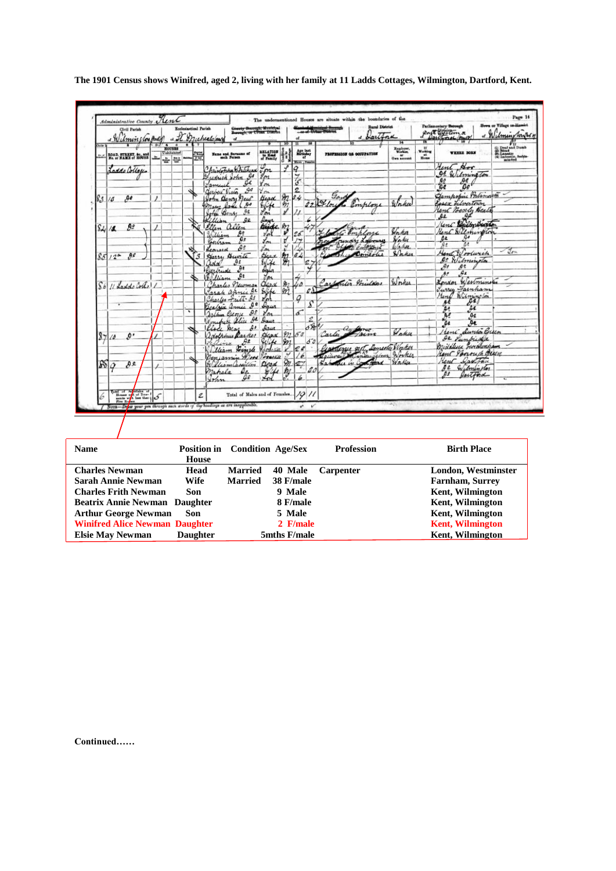|                | Umin un port                                                   |   |                                                      |   |   | County Berough, Municipal<br>Beesugh, or Urean District<br>a It Muchealo/may<br>$\alpha$ |                        | 10 <sup>10</sup>       | oŁ<br>π            |                                                    | -or of Driver Williams<br>a Dartina | $\overline{14}$                     |                                   | prot officers                                                   | Wilmingtons                                                                                       |
|----------------|----------------------------------------------------------------|---|------------------------------------------------------|---|---|------------------------------------------------------------------------------------------|------------------------|------------------------|--------------------|----------------------------------------------------|-------------------------------------|-------------------------------------|-----------------------------------|-----------------------------------------------------------------|---------------------------------------------------------------------------------------------------|
|                | ROAD, STREET, &c., and<br>No. or NAME of ROUSE                 |   | $\overline{4}$<br><b>HOUSES</b><br>Uninhabited<br>출발 | Ŧ |   | Name and Surname of                                                                      | RELATION               |                        |                    | Age last<br>Hirinday                               | PROFESSION OR OCCUPATION            | Employer.<br>Workers<br>Own account | H.<br>Working<br>$m_{\text{max}}$ | WHEEL BORN                                                      | (i) Deaf and Dumb<br>(ii) Binadio<br>(ii) Lansaino, festivalente<br>(ii) Lansacillo, festivalente |
|                | Laddo Collages                                                 |   |                                                      |   |   | Christopha Whitehead                                                                     | $\mathcal{C}_{\rho n}$ |                        | Blaze , Far<br>Q   |                                                    |                                     |                                     |                                   | Aunt Hor                                                        |                                                                                                   |
|                |                                                                |   |                                                      |   |   | udrick John Is                                                                           | $g_{\alpha}$           |                        | $\frac{7}{3}$      |                                                    |                                     |                                     |                                   | <b>95 Wilmington</b>                                            |                                                                                                   |
|                |                                                                |   |                                                      |   |   | oe<br>Jamuel                                                                             | Ym                     |                        |                    |                                                    |                                     |                                     |                                   | ₽€<br>$\frac{\partial s}{\partial t}$<br>Ъo                     |                                                                                                   |
|                |                                                                |   |                                                      |   |   | $\mathcal{G}^{\sigma}$<br>Gerbert Vieta                                                  | You                    |                        | 2                  |                                                    | Gard                                |                                     |                                   | Gampopin Polsmost                                               |                                                                                                   |
| 83             | Дł<br>18                                                       | 1 |                                                      |   |   | John Denry New                                                                           | <b>Beach</b>           |                        | $82 - 34$          |                                                    | 22 04 low                           |                                     |                                   | Casex Librartown                                                |                                                                                                   |
|                |                                                                |   |                                                      |   |   | Mary Same<br>مهر                                                                         | Evife                  | $\theta$               |                    |                                                    | Pomploye                            |                                     |                                   | Kent Beach, Beath                                               |                                                                                                   |
|                |                                                                |   |                                                      |   |   | 肚<br>John Bens                                                                           | Jon <sup>1</sup>       |                        |                    |                                                    |                                     |                                     |                                   | s₽<br><b>A</b> e                                                |                                                                                                   |
|                |                                                                |   |                                                      |   |   | Killian<br>QZ<br>Ellen allen                                                             | lays<br>Bride m        |                        |                    |                                                    |                                     |                                     |                                   | Kent Bulbrickette                                               |                                                                                                   |
|                | 92<br>$S_{4}/4$                                                |   |                                                      |   |   | $\theta$                                                                                 | You                    |                        | 26                 |                                                    | hlove                               | John                                |                                   | Rent Wilmington                                                 |                                                                                                   |
|                |                                                                |   |                                                      |   |   | William<br>$\theta$ e<br>Bertram                                                         | Lon                    |                        |                    |                                                    | rundry Labourer                     | Wakes                               |                                   | os                                                              |                                                                                                   |
|                |                                                                |   |                                                      |   |   | <b>As</b><br>Leonard                                                                     | Уm                     | ч                      |                    |                                                    | Colombia                            | Waha.                               |                                   | Δż<br>R.                                                        |                                                                                                   |
|                | 90<br>$851/2^*$                                                |   |                                                      |   |   | Harry Burite                                                                             | Hear                   |                        |                    |                                                    | Lamerice                            | Waker                               |                                   | Hand Woodwich                                                   | $-2m$                                                                                             |
|                |                                                                |   |                                                      |   |   | ₿ŧ<br>adal                                                                               | Wife                   |                        | $\frac{21}{21}$ 64 |                                                    |                                     |                                     |                                   | De Wilminston                                                   |                                                                                                   |
|                |                                                                |   |                                                      |   |   | Rurbude                                                                                  | daler                  |                        |                    |                                                    |                                     |                                     |                                   | $\mathcal{A}$<br>ge.<br>$\mathcal{L}_{\mathbf{z}}$              |                                                                                                   |
|                |                                                                |   |                                                      |   |   | €۹<br>William                                                                            | you                    |                        |                    |                                                    |                                     |                                     |                                   | $A^{\circ}$                                                     |                                                                                                   |
| S <sub>b</sub> | 11 Ladde Cortel /                                              |   |                                                      |   |   | harles necoman                                                                           | dead M                 |                        | ÚΔ                 |                                                    | Carpenter Printers                  | Worker                              |                                   | Indon Westminster                                               |                                                                                                   |
|                |                                                                |   |                                                      |   |   | $\mathfrak{g}_{\mathfrak{k}}$<br>Jarah annie                                             | Silve                  | m                      |                    | $\ell \Delta \Gamma$                               |                                     |                                     |                                   | Turry Fainham                                                   |                                                                                                   |
|                |                                                                |   |                                                      |   |   | Charles Fritt- de                                                                        | 'n                     |                        | Q                  |                                                    |                                     |                                     |                                   | Hind Wilmington<br>яł                                           |                                                                                                   |
|                |                                                                |   |                                                      |   |   | ه ۹<br>Beatrice annie                                                                    | Incor                  |                        |                    | s                                                  |                                     |                                     |                                   | 44<br>ΆQ                                                        |                                                                                                   |
|                |                                                                |   |                                                      | ٠ |   | $\mathcal{L}$<br>Jestine Crony                                                           | You                    |                        | $\sigma$           |                                                    |                                     |                                     |                                   | À.<br>A¢                                                        |                                                                                                   |
|                |                                                                |   |                                                      |   |   | $\mu$<br>Jonefy Stice                                                                    | Agua                   |                        |                    | 2<br>$\frac{\partial \mathcal{L}}{\partial x^{2}}$ |                                     |                                     |                                   | 9e<br>ae                                                        |                                                                                                   |
|                |                                                                |   |                                                      |   |   | Illece Aras                                                                              | Anua                   | n                      | 50                 |                                                    | and forme<br>Carter a<br>Jacme      | Voter                               |                                   | Heni Dunto Guen                                                 |                                                                                                   |
| $\frac{8}{7}$  | ø٠<br>$\Delta$                                                 |   |                                                      |   |   | Josephines Racker                                                                        | Head<br>Stike          |                        |                    | 53                                                 |                                     |                                     |                                   | de <i>Punkide</i>                                               |                                                                                                   |
|                |                                                                |   |                                                      |   |   | $\partial^2$<br>aira<br>Elliam Finele Bodiau                                             |                        |                        | 24                 |                                                    | one est concile Water               |                                     |                                   | middlesse Forchenham                                            |                                                                                                   |
|                |                                                                |   |                                                      |   |   | Conjamin<br>$\mathscr{L}_{\mathscr{H}}$                                                  | Forestle               |                        |                    |                                                    | Fineenzionen Worker                 |                                     |                                   | Rent Jonouch Beach                                              |                                                                                                   |
| Ñ              | $\theta$ e                                                     |   |                                                      |   |   | William Cassillon                                                                        | Dead                   | 911                    | 27                 |                                                    | Sabother in Coleman Walter          |                                     |                                   | Kent Dayston                                                    |                                                                                                   |
|                | o                                                              |   |                                                      |   |   | mahala                                                                                   | 44                     | $\frac{2\pi}{\beta^2}$ |                    |                                                    |                                     |                                     |                                   | De Wilminston                                                   |                                                                                                   |
|                |                                                                |   |                                                      |   |   | Ω₽<br>Irlin                                                                              |                        |                        | h                  |                                                    |                                     |                                     |                                   | faitford<br>ps.                                                 |                                                                                                   |
|                |                                                                |   |                                                      |   |   |                                                                                          |                        |                        |                    |                                                    |                                     |                                     |                                   |                                                                 |                                                                                                   |
| 6              | $\left \frac{\text{total of}}{\text{time of the time}}\right $ |   |                                                      |   | Ź | Total of Males and of Females                                                            |                        |                        |                    | 1011                                               |                                     |                                     |                                   |                                                                 |                                                                                                   |
|                |                                                                |   |                                                      |   |   | / Norz—Drine your pen through such awake of thy houdings as are inapplicable.            |                        |                        |                    |                                                    |                                     | division in                         |                                   | when the property to severe the control and the property in the |                                                                                                   |

**The 1901 Census shows Winifred, aged 2, living with her family at 11 Ladds Cottages, Wilmington, Dartford, Kent.**

| <b>Name</b>                           | <b>Position in</b><br>House | <b>Condition Age/Sex</b> |              | <b>Profession</b> | <b>Birth Place</b>      |
|---------------------------------------|-----------------------------|--------------------------|--------------|-------------------|-------------------------|
| <b>Charles Newman</b>                 | Head                        | <b>Married</b>           | 40 Male      | Carpenter         | London, Westminster     |
| Sarah Annie Newman                    | Wife                        | <b>Married</b>           | 38 F/male    |                   | <b>Farnham, Surrey</b>  |
| <b>Charles Frith Newman</b>           | Son                         |                          | 9 Male       |                   | Kent, Wilmington        |
| <b>Beatrix Annie Newman Daughter</b>  |                             |                          | 8 F/male     |                   | <b>Kent, Wilmington</b> |
| <b>Arthur George Newman</b>           | Son                         |                          | 5 Male       |                   | Kent, Wilmington        |
| <b>Winifred Alice Newman Daughter</b> |                             |                          | 2 F/male     |                   | <b>Kent, Wilmington</b> |
| <b>Elsie May Newman</b>               | <b>Daughter</b>             |                          | 5mths F/male |                   | <b>Kent, Wilmington</b> |

**Continued……**